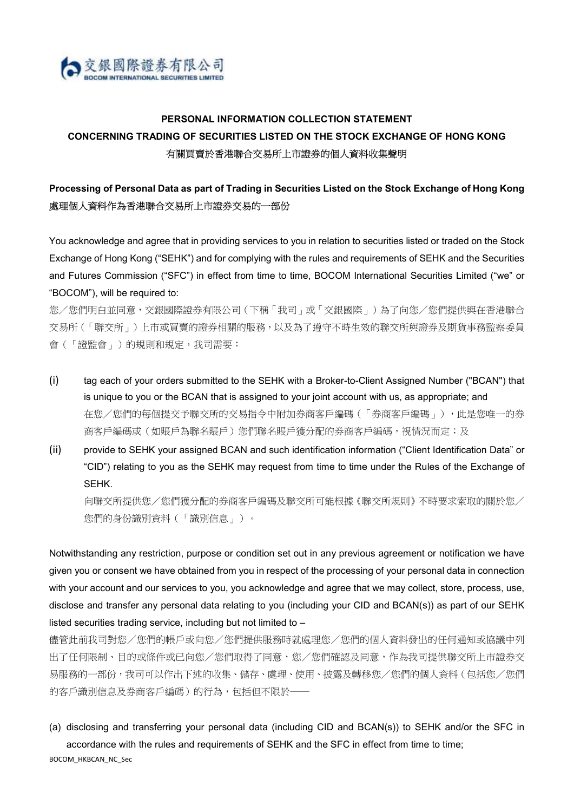

# PERSONAL INFORMATION COLLECTION STATEMENT CONCERNING TRADING OF SECURITIES LISTED ON THE STOCK EXCHANGE OF HONG KONG 有關買賣於香港聯合交易所上市證券的個人資料收集聲明

## Processing of Personal Data as part of Trading in Securities Listed on the Stock Exchange of Hong Kong 處理個人資料作為香港聯合交易所上市證券交易的一部份

You acknowledge and agree that in providing services to you in relation to securities listed or traded on the Stock Exchange of Hong Kong ("SEHK") and for complying with the rules and requirements of SEHK and the Securities and Futures Commission ("SFC") in effect from time to time, BOCOM International Securities Limited ("we" or "BOCOM"), will be required to:

您/您們明白並同意,交銀國際證券有限公司(下稱「我司」或「交銀國際」)為了向您/您們提供與在香港聯合 交易所(「聯交所」)上市或買賣的證券相關的服務,以及為了遵守不時生效的聯交所與證券及期貨事務監察委員 會(「證監會」)的規則和規定,我司需要:

- (i) tag each of your orders submitted to the SEHK with a Broker-to-Client Assigned Number ("BCAN") that is unique to you or the BCAN that is assigned to your joint account with us, as appropriate; and 在您/您們的每個提交予聯交所的交易指令中附加券商客戶編碼(「券商客戶編碼」),此是您唯一的券 商客戶編碼或(如賬戶為聯名賬戶)您們聯名賬戶獲分配的券商客戶編碼,視情況而定;及
- (ii) provide to SEHK your assigned BCAN and such identification information ("Client Identification Data" or "CID") relating to you as the SEHK may request from time to time under the Rules of the Exchange of SEHK.

向聯交所提供您/您們獲分配的券商客戶編碼及聯交所可能根據《聯交所規則》不時要求索取的關於您/ 您們的身份識別資料(「識別信息」)。

Notwithstanding any restriction, purpose or condition set out in any previous agreement or notification we have given you or consent we have obtained from you in respect of the processing of your personal data in connection with your account and our services to you, you acknowledge and agree that we may collect, store, process, use, disclose and transfer any personal data relating to you (including your CID and BCAN(s)) as part of our SEHK listed securities trading service, including but not limited to –

儘管此前我司對您/您們的帳戶或向您/您們提供服務時就處理您/您們的個人資料發出的任何通知或協議中列 出了任何限制、目的或條件或已向您/您們取得了同意,您/您們確認及同意,作為我司提供聯交所上市證券交 易服務的一部份,我司可以作出下述的收集、儲存、處理、使用、披露及轉移您/您們的個人資料(包括您/您們 的客戶識別信息及券商客戶編碼)的行為,包括但不限於一

(a) disclosing and transferring your personal data (including CID and BCAN(s)) to SEHK and/or the SFC in accordance with the rules and requirements of SEHK and the SFC in effect from time to time;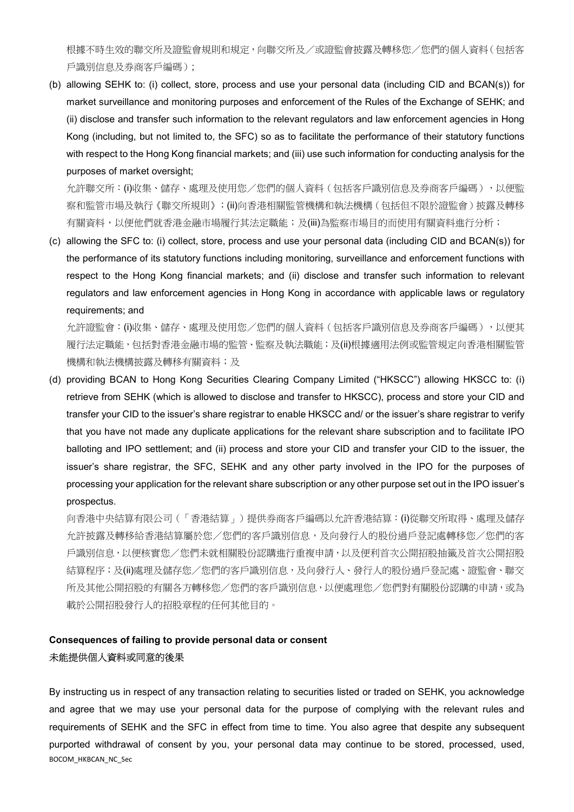根據不時生效的聯交所及證監會規則和規定,向聯交所及/或證監會披露及轉移您/您們的個人資料(包括客 戶識別信息及券商客戶編碼);

(b) allowing SEHK to: (i) collect, store, process and use your personal data (including CID and BCAN(s)) for market surveillance and monitoring purposes and enforcement of the Rules of the Exchange of SEHK; and (ii) disclose and transfer such information to the relevant regulators and law enforcement agencies in Hong Kong (including, but not limited to, the SFC) so as to facilitate the performance of their statutory functions with respect to the Hong Kong financial markets; and (iii) use such information for conducting analysis for the purposes of market oversight;

允許聯交所:(i)收集、儲存、處理及使用您/您們的個人資料(包括客戶識別信息及券商客戶編碼),以便監 察和監管市場及執行《聯交所規則》;(ii)向香港相關監管機構和執法機構(包括但不限於證監會)披露及轉移 有關資料,以便他們就香港金融市場履行其法定職能;及(iii)為監察市場目的而使用有關資料進行分析;

(c) allowing the SFC to: (i) collect, store, process and use your personal data (including CID and BCAN(s)) for the performance of its statutory functions including monitoring, surveillance and enforcement functions with respect to the Hong Kong financial markets; and (ii) disclose and transfer such information to relevant regulators and law enforcement agencies in Hong Kong in accordance with applicable laws or regulatory requirements; and

允許證監會: (i)收集、儲存、處理及使用您/您們的個人資料(包括客戶識別信息及券商客戶編碼), 以便其 履行法定職能,包括對香港金融市場的監管、監察及執法職能;及(ii)根據適用法例或監管規定向香港相關監管 機構和執法機構披露及轉移有關資料;及

(d) providing BCAN to Hong Kong Securities Clearing Company Limited ("HKSCC") allowing HKSCC to: (i) retrieve from SEHK (which is allowed to disclose and transfer to HKSCC), process and store your CID and transfer your CID to the issuer's share registrar to enable HKSCC and/ or the issuer's share registrar to verify that you have not made any duplicate applications for the relevant share subscription and to facilitate IPO balloting and IPO settlement; and (ii) process and store your CID and transfer your CID to the issuer, the issuer's share registrar, the SFC, SEHK and any other party involved in the IPO for the purposes of processing your application for the relevant share subscription or any other purpose set out in the IPO issuer's prospectus.

向香港中央結算有限公司(「香港結算」)提供券商客戶編碼以允許香港結算:(i)從聯交所取得、處理及儲存 允許披露及轉移給香港結算屬於您/您們的客戶識別信息,及向發行人的股份過戶登記處轉移您/您們的客 戶識別信息,以便核實您/您們未就相關股份認購進行重複申請,以及便利首次公開招股抽籤及首次公開招股 結算程序;及(ii)處理及儲存您/您們的客戶識別信息,及向發行人、發行人的股份過戶登記處、證監會、聯交 所及其他公開招股的有關各方轉移您/您們的客戶識別信息,以便處理您/您們對有關股份認購的申請,或為 載於公開招股發行人的招股章程的任何其他目的。

### Consequences of failing to provide personal data or consent 未能提供個人資料或同意的後果

BOCOM\_HKBCAN\_NC\_Sec By instructing us in respect of any transaction relating to securities listed or traded on SEHK, you acknowledge and agree that we may use your personal data for the purpose of complying with the relevant rules and requirements of SEHK and the SFC in effect from time to time. You also agree that despite any subsequent purported withdrawal of consent by you, your personal data may continue to be stored, processed, used,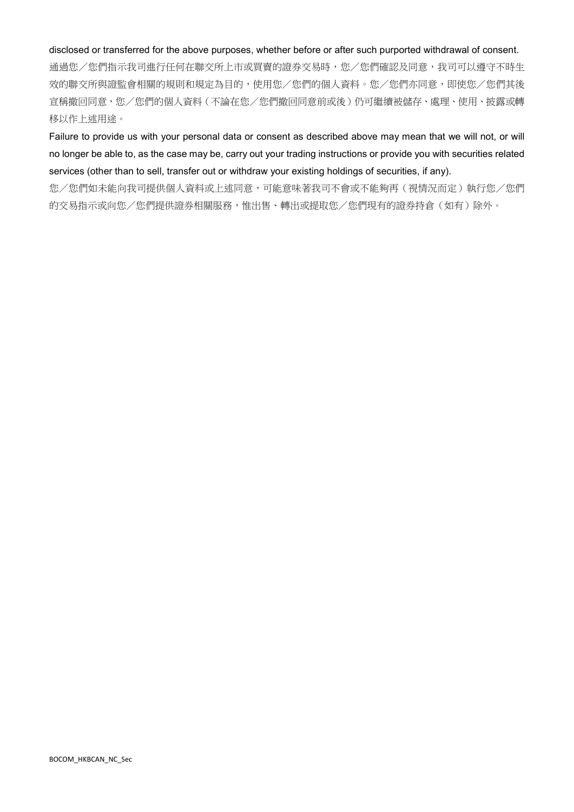#### disclosed or transferred for the above purposes, whether before or after such purported withdrawal of consent.

通過您/您們指示我司進行任何在聯交所上市或買賣的證券交易時,您/您們確認及同意,我司可以遵守不時生 效的聯交所與證監會相關的規則和規定為目的,使用您/您們的個人資料。您/您們亦同意,即使您/您們其後 宣稱撤回同意,您/您們的個人資料(不論在您/您們撤回同意前或後)仍可繼續被儲存、處理、使用、披露或轉 移以作上述用途。

Failure to provide us with your personal data or consent as described above may mean that we will not, or will no longer be able to, as the case may be, carry out your trading instructions or provide you with securities related services (other than to sell, transfer out or withdraw your existing holdings of securities, if any).

您/您們如未能向我司提供個人資料或上述同意,可能意味著我司不會或不能夠再(視情況而定)執行您/您們 的交易指示或向您/您們提供證券相關服務,惟出售、轉出或提取您/您們現有的證券持倉(如有)除外。